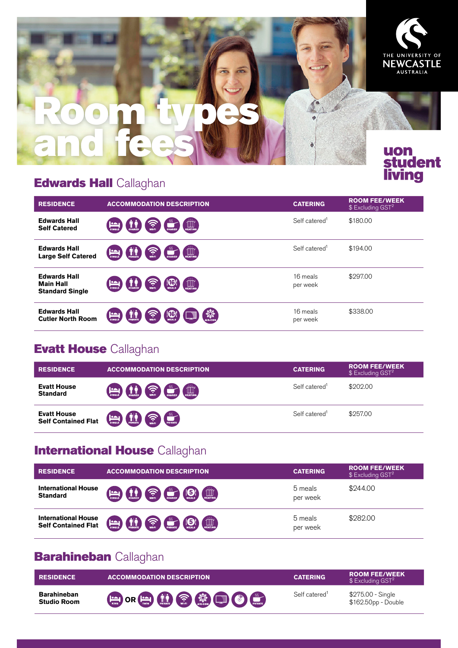

## **[Edwards Hall](http://www.newcastle.edu.au/future-students/study-at-uon/accommodation-options/uon-student-living/where-can-i-live) Callaghan**

| <b>RESIDENCE</b>                                                  | <b>ACCOMMODATION DESCRIPTION</b>                                                                                                                    | <b>CATERING</b>           | <b>ROOM FEE/WEEK</b><br>$$$ Excluding GST <sup>2</sup> |
|-------------------------------------------------------------------|-----------------------------------------------------------------------------------------------------------------------------------------------------|---------------------------|--------------------------------------------------------|
| <b>Edwards Hall</b><br><b>Self Catered</b>                        | $\left[\begin{matrix} 1 & 1 \\ 0 & 1 \end{matrix}\right]$<br>ခု<br>WHFI<br><b>SHARED</b><br><b>SHARED</b>                                           | Self catered <sup>1</sup> | \$180.00                                               |
| <b>Edwards Hall</b><br><b>Large Self Catered</b>                  | $\left[\begin{matrix} 1 & 1 \\ 0 & 1 \end{matrix}\right]$<br>$\widehat{\Omega}$<br>$\bullet$<br>$\prod_{\text{PRIVATE}}$<br><b>SHARED</b><br>SINGLE | Self catered <sup>1</sup> | \$194.00                                               |
| <b>Edwards Hall</b><br><b>Main Hall</b><br><b>Standard Single</b> | $\bigcirc$<br>$\left[\begin{matrix}\prod\limits_{n=1}^{\infty} \end{matrix}\right]$<br>န<br><b>MEALS</b><br>SINGLE<br>WI-FI<br><b>SHARED</b>        | 16 meals<br>per week      | \$297.00                                               |
| <b>Edwards Hall</b><br><b>Cutler North Room</b>                   | <b>ADE</b><br>⑯<br>ె<br>WI-FI<br>SINGLE<br><b>MEALS</b><br><b>PRIVATE</b>                                                                           | 16 meals<br>per week      | \$338,00                                               |

## **[Evatt House](http://www.newcastle.edu.au/future-students/study-at-uon/accommodation-options/uon-student-living/where-can-i-live) Callaghan**

| <b>RESIDENCE</b>                                 | <b>ACCOMMODATION DESCRIPTION</b>                                                                                                            | <b>CATERING</b>           | <b>ROOM FEE/WEEK</b><br>$$$ Excluding GST <sup>2</sup> |
|--------------------------------------------------|---------------------------------------------------------------------------------------------------------------------------------------------|---------------------------|--------------------------------------------------------|
| <b>Evatt House</b><br><b>Standard</b>            | SHARED WHEN SHARED<br>$\left(\begin{matrix}\prod\limits_{i=1}^{n} & &\\ \prod_{i=1}^{n} & &\\ \end{matrix}\right)$<br>$\sum_{\text{smatt}}$ | Self catered <sup>1</sup> | \$202.00                                               |
| <b>Evatt House</b><br><b>Self Contained Flat</b> | PRIVATE<br>$\bigcirc$<br>$\lim_{\text{max}}$<br>$\left(\begin{array}{c}\begin{smallmatrix} \text{0.2}\end{smallmatrix}\end{array}\right)$   | Self catered <sup>1</sup> | \$257.00                                               |

## **[International House](http://www.newcastle.edu.au/future-students/study-at-uon/accommodation-options/uon-student-living/where-can-i-live) Callaghan**

| <b>RESIDENCE</b>                                         | <b>ACCOMMODATION DESCRIPTION</b>                                               | <b>CATERING</b>     | <b>ROOM FEE/WEEK</b><br>$$$ Excluding GST <sup>2</sup> |
|----------------------------------------------------------|--------------------------------------------------------------------------------|---------------------|--------------------------------------------------------|
| <b>International House</b><br><b>Standard</b>            | <b>Except (i.e.) Co. Co.</b> (5)<br>HEATING                                    | 5 meals<br>per week | \$244.00                                               |
| <b>International House</b><br><b>Self Contained Flat</b> | <b>ED CR</b> CHANGE<br><b>UUU</b><br>$\left(\frac{\log n}{\sin \alpha}\right)$ | 5 meals<br>per week | \$282.00                                               |

# **[Barahineban](http://www.newcastle.edu.au/future-students/study-at-uon/accommodation-options/uon-student-living/where-can-i-live) Callaghan**

| <b>RESIDENCE</b>                         | <b>ACCOMMODATION DESCRIPTION</b> | <b>CATERING</b>           | <b>ROOM FEE/WEEK</b><br>$$$ Excluding GST <sup>2</sup> |
|------------------------------------------|----------------------------------|---------------------------|--------------------------------------------------------|
| <b>Barahineban</b><br><b>Studio Room</b> | BORDOOO                          | Self catered <sup>1</sup> | \$275.00 - Single<br>\$162.50pp - Double               |